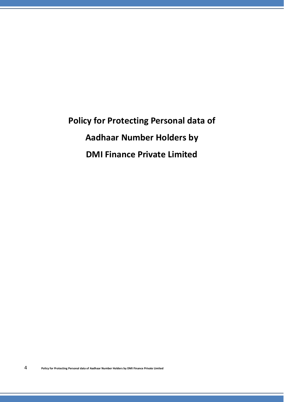**Policy for Protecting Personal data of Aadhaar Number Holders by DMI Finance Private Limited**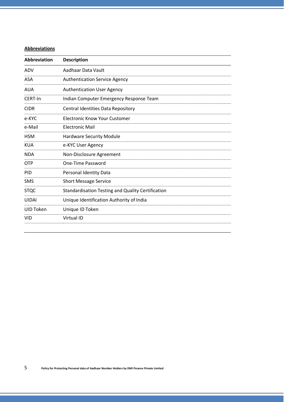## **Abbreviations**

| <b>Abbreviation</b> | <b>Description</b>                                       |
|---------------------|----------------------------------------------------------|
| ADV                 | Aadhaar Data Vault                                       |
| ASA                 | <b>Authentication Service Agency</b>                     |
| <b>AUA</b>          | <b>Authentication User Agency</b>                        |
| CERT-In             | Indian Computer Emergency Response Team                  |
| <b>CIDR</b>         | Central Identities Data Repository                       |
| e-KYC               | Electronic Know Your Customer                            |
| e-Mail              | <b>Electronic Mail</b>                                   |
| <b>HSM</b>          | <b>Hardware Security Module</b>                          |
| KUA                 | e-KYC User Agency                                        |
| <b>NDA</b>          | Non-Disclosure Agreement                                 |
| <b>OTP</b>          | One-Time Password                                        |
| <b>PID</b>          | Personal Identity Data                                   |
| <b>SMS</b>          | <b>Short Message Service</b>                             |
| <b>STQC</b>         | <b>Standardisation Testing and Quality Certification</b> |
| <b>UIDAI</b>        | Unique Identification Authority of India                 |
| UID Token           | Unique ID Token                                          |
| <b>VID</b>          | <b>Virtual ID</b>                                        |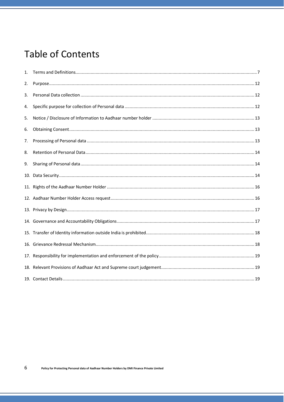# **Table of Contents**

| 1. |  |
|----|--|
| 2. |  |
| 3. |  |
| 4. |  |
| 5. |  |
| 6. |  |
| 7. |  |
| 8. |  |
| 9. |  |
|    |  |
|    |  |
|    |  |
|    |  |
|    |  |
|    |  |
|    |  |
|    |  |
|    |  |
|    |  |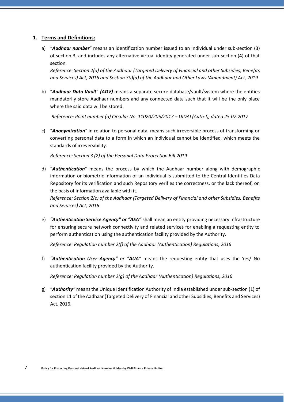## <span id="page-3-0"></span>**1. Terms and Definitions:**

a) "*Aadhaar number*" means an identification number issued to an individual under sub-section (3) of section 3, and includes any alternative virtual identity generated under sub-section (4) of that section.

*Reference: Section 2(a) of the Aadhaar (Targeted Delivery of Financial and other Subsidies, Benefits and Services) Act, 2016 and Section 3(i)(a) of the Aadhaar and Other Laws (Amendment) Act, 2019*

b) "*Aadhaar Data Vault*" *(ADV)* means a separate secure database/vault/system where the entities mandatorily store Aadhaar numbers and any connected data such that it will be the only place where the said data will be stored.

*Reference: Point number (a) Circular No. 11020/205/2017 – UIDAI (Auth-I), dated 25.07.2017*

c) "*Anonymization*" in relation to personal data, means such irreversible process of transforming or converting personal data to a form in which an individual cannot be identified, which meets the standards of irreversibility.

*Reference: Section 3 (2) of the Personal Data Protection Bill 2019*

d) "*Authentication*" means the process by which the Aadhaar number along with demographic information or biometric information of an individual is submitted to the Central Identities Data Repository for its verification and such Repository verifies the correctness, or the lack thereof, on the basis of information available with it.

*Reference: Section 2(c) of the Aadhaar (Targeted Delivery of Financial and other Subsidies, Benefits and Services) Act, 2016*

e) *"Authentication Service Agency" or "ASA"* shall mean an entity providing necessary infrastructure for ensuring secure network connectivity and related services for enabling a requesting entity to perform authentication using the authentication facility provided by the Authority.

*Reference: Regulation number 2(f) of the Aadhaar (Authentication) Regulations, 2016*

f) *"Authentication User Agency" or "AUA"* means the requesting entity that uses the Yes/ No authentication facility provided by the Authority.

*Reference: Regulation number 2(g) of the Aadhaar (Authentication) Regulations, 2016*

g) "*Authority"* meansthe Unique Identification Authority of India established under sub-section (1) of section 11 of the Aadhaar (Targeted Delivery of Financial and other Subsidies, Benefits and Services) Act, 2016.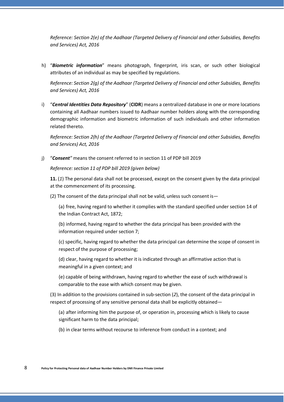*Reference: Section 2(e) of the Aadhaar (Targeted Delivery of Financial and other Subsidies, Benefits and Services) Act, 2016*

h) "*Biometric information*" means photograph, fingerprint, iris scan, or such other biological attributes of an individual as may be specified by regulations.

*Reference: Section 2(g) of the Aadhaar (Targeted Delivery of Financial and other Subsidies, Benefits and Services) Act, 2016*

i) "*Central Identities Data Repository*" (**CIDR**) means a centralized database in one or more locations containing all Aadhaar numbers issued to Aadhaar number holders along with the corresponding demographic information and biometric information of such individuals and other information related thereto.

*Reference: Section 2(h) of the Aadhaar (Targeted Delivery of Financial and other Subsidies, Benefits and Services) Act, 2016*

j) "*Consent"* means the consent referred to in section 11 of PDP bill 2019

*Reference:section 11 of PDP bill 2019 (given below)*

**11.** (*1*) The personal data shall not be processed, except on the consent given by the data principal at the commencement of its processing.

(2) The consent of the data principal shall not be valid, unless such consent is—

(a) free, having regard to whether it complies with the standard specified under section 14 of the Indian Contract Act, 1872;

(b) informed, having regard to whether the data principal has been provided with the information required under section 7;

(c) specific, having regard to whether the data principal can determine the scope of consent in respect of the purpose of processing;

(d) clear, having regard to whether it is indicated through an affirmative action that is meaningful in a given context; and

(e) capable of being withdrawn, having regard to whether the ease of such withdrawal is comparable to the ease with which consent may be given.

(3) In addition to the provisions contained in sub-section (*2*), the consent of the data principal in respect of processing of any sensitive personal data shall be explicitly obtained—

(a) after informing him the purpose of, or operation in, processing which is likely to cause significant harm to the data principal;

(b) in clear terms without recourse to inference from conduct in a context; and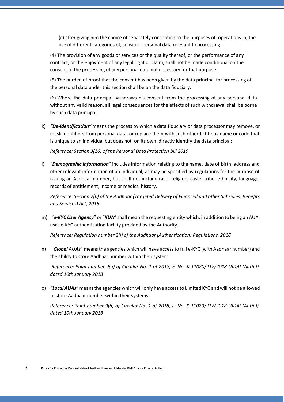(c) after giving him the choice of separately consenting to the purposes of, operations in, the use of different categories of, sensitive personal data relevant to processing.

(4) The provision of any goods or services or the quality thereof, or the performance of any contract, or the enjoyment of any legal right or claim, shall not be made conditional on the consent to the processing of any personal data not necessary for that purpose.

(5) The burden of proof that the consent has been given by the data principal for processing of the personal data under this section shall be on the data fiduciary.

(6) Where the data principal withdraws his consent from the processing of any personal data without any valid reason, all legal consequences for the effects of such withdrawal shall be borne by such data principal.

k) *"De-identification"* means the process by which a data fiduciary or data processor may remove, or mask identifiers from personal data, or replace them with such other fictitious name or code that is unique to an individual but does not, on its own, directly identify the data principal;

*Reference: Section 3(16) of the Personal Data Protection bill 2019*

l) "*Demographic information*" includes information relating to the name, date of birth, address and other relevant information of an individual, as may be specified by regulations for the purpose of issuing an Aadhaar number, but shall not include race, religion, caste, tribe, ethnicity, language, records of entitlement, income or medical history.

*Reference: Section 2(k) of the Aadhaar (Targeted Delivery of Financial and other Subsidies, Benefits and Services) Act, 2016*

m) "*e-KYC User Agency*" or "*KUA*" shall mean the requesting entity which, in addition to being an AUA, uses e-KYC authentication facility provided by the Authority.

*Reference: Regulation number 2(l) of the Aadhaar (Authentication) Regulations, 2016*

n) "*Global AUAs*" meansthe agencies which will have accessto full e-KYC (with Aadhaar number) and the ability to store Aadhaar number within their system.

*Reference: Point number 9(a) of Circular No. 1 of 2018, F. No. K-11020/217/2018-UIDAI (Auth-I), dated 10th January 2018*

o) *"LocalAUAs*" meansthe agencies which will only have accessto Limited KYC and will not be allowed to store Aadhaar number within their systems.

*Reference: Point number 9(b) of Circular No. 1 of 2018, F. No. K-11020/217/2018-UIDAI (Auth-I), dated 10th January 2018*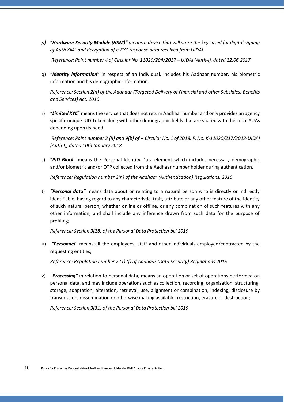*p)* "*Hardware Security Module (HSM)" means a device that will store the keys used for digital signing of Auth XML and decryption of e-KYC response data received from UIDAI.*

*Reference: Point number 4 of Circular No. 11020/204/2017 – UIDAI (Auth-I), dated 22.06.2017*

q) "*Identity information*" in respect of an individual, includes his Aadhaar number, his biometric information and his demographic information.

*Reference: Section 2(n) of the Aadhaar (Targeted Delivery of Financial and other Subsidies, Benefits and Services) Act, 2016*

r) "*Limited KYC*" meansthe service that does not return Aadhaar number and only provides an agency specific unique UID Token along with other demographic fields that are shared with the Local AUAs depending upon its need.

*Reference: Point number 3 (II) and 9(b) of ‒ Circular No. 1 of 2018, F. No. K-11020/217/2018-UIDAI (Auth-I), dated 10th January 2018*

s) "*PID Block*" means the Personal Identity Data element which includes necessary demographic and/or biometric and/or OTP collected from the Aadhaar number holder during authentication.

*Reference: Regulation number 2(n) of the Aadhaar (Authentication) Regulations, 2016*

t) *"Personal data"* means data about or relating to a natural person who is directly or indirectly identifiable, having regard to any characteristic, trait, attribute or any other feature of the identity of such natural person, whether online or offline, or any combination of such features with any other information, and shall include any inference drawn from such data for the purpose of profiling;

*Reference: Section 3(28) of the Personal Data Protection bill 2019*

u) *"Personnel*" means all the employees, staff and other individuals employed/contracted by the requesting entities;

*Reference: Regulation number 2 (1) (f) of Aadhaar (Data Security) Regulations 2016*

v) *"Processing"* in relation to personal data, means an operation or set of operations performed on personal data, and may include operations such as collection, recording, organisation, structuring, storage, adaptation, alteration, retrieval, use, alignment or combination, indexing, disclosure by transmission, dissemination or otherwise making available, restriction, erasure or destruction;

*Reference: Section 3(31) of the Personal Data Protection bill 2019*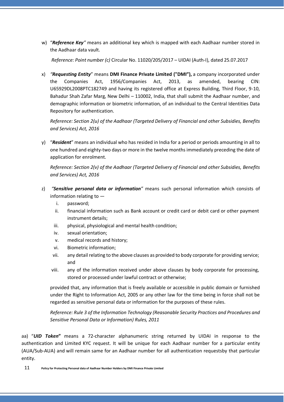w) "*Reference Key"* means an additional key which is mapped with each Aadhaar number stored in the Aadhaar data vault.

*Reference: Point number (c)* Circular No. 11020/205/2017 – UIDAI (Auth-I), dated 25.07.2017

x) *"Requesting Entity*" means **DMI Finance Private Limited ("DMI"),** a company incorporated under the Companies Act, 1956/Companies Act, 2013, as amended, bearing CIN: U65929DL2008PTC182749 and having its registered office at Express Building, Third Floor, 9-10, Bahadur Shah Zafar Marg, New Delhi – 110002, India, that shall submit the Aadhaar number, and demographic information or biometric information, of an individual to the Central Identities Data Repository for authentication.

*Reference: Section 2(u) of the Aadhaar (Targeted Delivery of Financial and other Subsidies, Benefits and Services) Act, 2016*

y) "*Resident*" means an individual who has resided in India for a period or periods amounting in all to one hundred and eighty-two days or more in the twelve months immediately preceding the date of application for enrolment.

*Reference: Section 2(v) of the Aadhaar (Targeted Delivery of Financial and other Subsidies, Benefits and Services) Act, 2016*

- z) *"Sensitive personal data or information"* means such personal information which consists of information relating to
	- i. password;
	- ii. financial information such as Bank account or credit card or debit card or other payment instrument details;
	- iii. physical, physiological and mental health condition;
	- iv. sexual orientation;
	- v. medical records and history;
	- vi. Biometric information;
	- vii. any detail relating to the above clauses as provided to body corporate for providing service; and
	- viii. any of the information received under above clauses by body corporate for processing, stored or processed under lawful contract or otherwise;

provided that, any information that is freely available or accessible in public domain or furnished under the Right to Information Act, 2005 or any other law for the time being in force shall not be regarded as sensitive personal data or information for the purposes of these rules.

*Reference: Rule 3 of the Information Technology (Reasonable Security Practices and Procedures and Sensitive Personal Data or Information) Rules, 2011*

aa) "*UID Token***"** means a 72-character alphanumeric string returned by UIDAI in response to the authentication and Limited KYC request. It will be unique for each Aadhaar number for a particular entity (AUA/Sub-AUA) and will remain same for an Aadhaar number for all authentication requestsby that particular entity.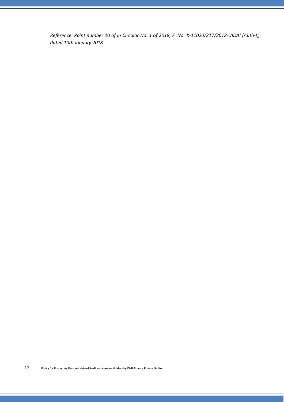*Reference: Point number 10 of in Circular No. 1 of 2018, F. No. K-11020/217/2018-UIDAI (Auth-I), dated 10th January 2018*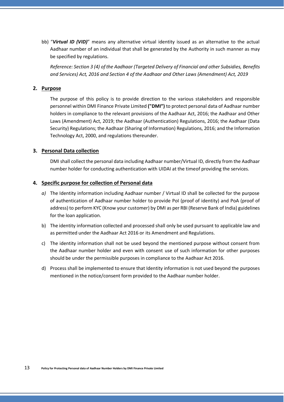bb) "*Virtual ID (VID)*" means any alternative virtual identity issued as an alternative to the actual Aadhaar number of an individual that shall be generated by the Authority in such manner as may be specified by regulations.

*Reference: Section 3 (4) of the Aadhaar (Targeted Delivery of Financial and other Subsidies, Benefits and Services) Act, 2016 and Section 4 of the Aadhaar and Other Laws (Amendment) Act, 2019*

## <span id="page-9-0"></span>**2. Purpose**

The purpose of this policy is to provide direction to the various stakeholders and responsible personnel within DMI Finance Private Limited **("DMI")** to protect personal data of Aadhaar number holders in compliance to the relevant provisions of the Aadhaar Act, 2016; the Aadhaar and Other Laws (Amendment) Act, 2019; the Aadhaar (Authentication) Regulations, 2016; the Aadhaar (Data Security) Regulations; the Aadhaar (Sharing of Information) Regulations, 2016; and the Information Technology Act, 2000, and regulations thereunder.

#### <span id="page-9-1"></span>**3. Personal Data collection**

DMI shall collect the personal data including Aadhaar number/Virtual ID, directly from the Aadhaar number holder for conducting authentication with UIDAI at the timeof providing the services.

#### <span id="page-9-2"></span>**4. Specific purpose for collection of Personal data**

- *a)* The Identity information including Aadhaar number / Virtual ID shall be collected for the purpose of authentication of Aadhaar number holder to provide PoI (proof of identity) and PoA (proof of address) to perform KYC (Know your customer) by DMI as per RBI (Reserve Bank of India) guidelines for the loan application.
- b) The identity information collected and processed shall only be used pursuant to applicable law and as permitted under the Aadhaar Act 2016 or its Amendment and Regulations.
- c) The identity information shall not be used beyond the mentioned purpose without consent from the Aadhaar number holder and even with consent use of such information for other purposes should be under the permissible purposes in compliance to the Aadhaar Act 2016.
- d) Process shall be implemented to ensure that Identity information is not used beyond the purposes mentioned in the notice/consent form provided to the Aadhaar number holder.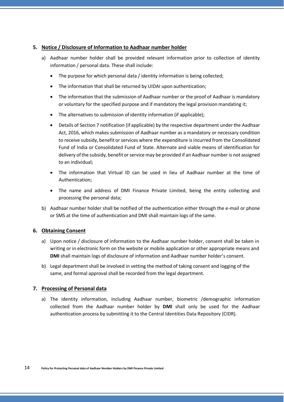# <span id="page-10-0"></span>**5. Notice / Disclosure of Information to Aadhaar number holder**

- a) Aadhaar number holder shall be provided relevant information prior to collection of identity information / personal data. These shall include:
	- The purpose for which personal data / identity information is being collected;
	- The information that shall be returned by UIDAI upon authentication;
	- The information that the submission of Aadhaar number or the proof of Aadhaar is mandatory or voluntary for the specified purpose and if mandatory the legal provision mandating it;
	- The alternatives to submission of identity information (if applicable);
	- Details of Section 7 notification (if applicable) by the respective department underthe Aadhaar Act, 2016, which makes submission of Aadhaar number as a mandatory or necessary condition to receive subsidy, benefit or services where the expenditure is incurred from the Consolidated Fund of India or Consolidated Fund of State. Alternate and viable means of identification for delivery of the subsidy, benefit or service may be provided if an Aadhaar number is not assigned to an individual;
	- The information that Virtual ID can be used in lieu of Aadhaar number at the time of Authentication;
	- The name and address of DMI Finance Private Limited, being the entity collecting and processing the personal data;
- b) Aadhaar number holder shall be notified of the authentication either through the e-mail or phone or SMS at the time of authentication and DMI shall maintain logs of the same.

# <span id="page-10-1"></span>**6. Obtaining Consent**

- a) Upon notice / disclosure of information to the Aadhaar number holder, consent shall be taken in writing or in electronic form on the website or mobile application or other appropriate means and **DMI** shall maintain logs of disclosure of information and Aadhaar number holder's consent.
- b) Legal department shall be involved in vetting the method of taking consent and logging of the same, and formal approval shall be recorded from the legal department.

# <span id="page-10-2"></span>**7. Processing of Personal data**

a) The identity information, including Aadhaar number, biometric /demographic information collected from the Aadhaar number holder by **DMI** shall only be used for the Aadhaar authentication process by submitting it to the Central Identities Data Repository (CIDR).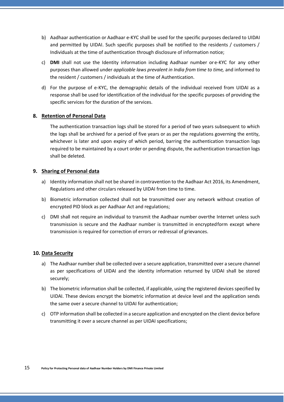- b) Aadhaar authentication or Aadhaar e-KYC shall be used for the specific purposes declared to UIDAI and permitted by UIDAI. Such specific purposes shall be notified to the residents / customers / Individuals at the time of authentication through disclosure of information notice;
- c) **DMI** shall not use the Identity information including Aadhaar number or e-KYC for any other purposes than allowed under *applicable laws prevalent in India from time to time,* and informed to the resident / customers / individuals at the time of Authentication.
- d) For the purpose of e-KYC, the demographic details of the individual received from UIDAI as a response shall be used for identification of the individual for the specific purposes of providing the specific services for the duration of the services.

## <span id="page-11-0"></span>**8. Retention of Personal Data**

The authentication transaction logs shall be stored for a period of two years subsequent to which the logs shall be archived for a period of five years or as per the regulations governing the entity, whichever is later and upon expiry of which period, barring the authentication transaction logs required to be maintained by a court order or pending dispute, the authentication transaction logs shall be deleted.

## <span id="page-11-1"></span>**9. Sharing of Personal data**

- a) Identity information shall not be shared in contravention to the Aadhaar Act 2016, its Amendment, Regulations and other circulars released by UIDAI from time to time.
- b) Biometric information collected shall not be transmitted over any network without creation of encrypted PID block as per Aadhaar Act and regulations;
- c) DMI shall not require an individual to transmit the Aadhaar number overthe Internet unless such transmission is secure and the Aadhaar number is transmitted in encryptedform except where transmission is required for correction of errors or redressal of grievances.

## <span id="page-11-2"></span>**10. Data Security**

- a) The Aadhaar number shall be collected over a secure application, transmitted over a secure channel as per specifications of UIDAI and the identity information returned by UIDAI shall be stored securely;
- b) The biometric information shall be collected, if applicable, using the registered devices specified by UIDAI. These devices encrypt the biometric information at device level and the application sends the same over a secure channel to UIDAI for authentication;
- c) OTP information shall be collected in a secure application and encrypted on the client device before transmitting it over a secure channel as per UIDAI specifications;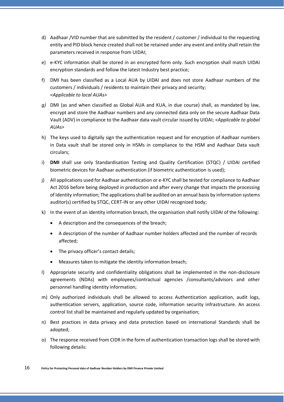- d) Aadhaar /VID number that are submitted by the resident / customer / individual to the requesting entity and PID block hence created shall not be retained under any event and entity shall retain the parameters received in response from UIDAI;
- e) e-KYC information shall be stored in an encrypted form only. Such encryption shall match UIDAI encryption standards and follow the latest Industry best practice;
- f) DMI has been classified as a Local AUA by UIDAI and does not store Aadhaar numbers of the customers / individuals / residents to maintain their privacy and security; *<Applicable to local AUAs>*
- *g)* DMI (as and when classified as Global AUA and KUA, in due course) shall, as mandated by law, encrypt and store the Aadhaar numbers and any connected data only on the secure Aadhaar Data Vault (ADV) in compliance to the Aadhaar data vault circular issued by UIDAI; *<Applicable to global AUAs>*
- h) The keys used to digitally sign the authentication request and for encryption of Aadhaar numbers in Data vault shall be stored only in HSMs in compliance to the HSM and Aadhaar Data vault circulars;
- i) **DMI** shall use only Standardisation Testing and Quality Certification (STQC) / UIDAI certified biometric devices for Aadhaar authentication (if biometric authentication is used);
- j) All applications used for Aadhaar authentication or e-KYC shall be tested for compliance to Aadhaar Act 2016 before being deployed in production and after every change that impacts the processing of Identity information; The applicationsshall be audited on an annual basis by information systems auditor(s) certified by STQC, CERT-IN or any other UIDAI recognized body;
- k) In the event of an identity information breach, the organisation shall notify UIDAI of the following:
	- A description and the consequences of the breach;
	- A description of the number of Aadhaar number holders affected and the number of records affected;
	- The privacy officer's contact details;
	- Measures taken to mitigate the identity information breach;
- l) Appropriate security and confidentiality obligations shall be implemented in the non-disclosure agreements (NDAs) with employees/contractual agencies /consultants/advisors and other personnel handling identity information;
- m) Only authorized individuals shall be allowed to access Authentication application, audit logs, authentication servers, application, source code, information security infrastructure. An access control list shall be maintained and regularly updated by organisation;
- n) Best practices in data privacy and data protection based on international Standards shall be adopted;
- o) The response received from CIDR in the form of authentication transaction logsshall be stored with following details: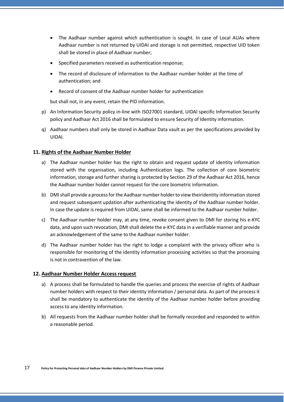- The Aadhaar number against which authentication is sought. In case of Local AUAs where Aadhaar number is not returned by UIDAI and storage is not permitted, respective UID token shall be stored in place of Aadhaar number;
- Specified parameters received as authentication response;
- The record of disclosure of information to the Aadhaar number holder at the time of authentication; and
- Record of consent of the Aadhaar number holder for authentication

but shall not, in any event, retain the PID information.

- p) An Information Security policy in-line with ISO27001 standard, UIDAI specific Information Security policy and Aadhaar Act 2016 shall be formulated to ensure Security of Identity information.
- q) Aadhaar numbers shall only be stored in Aadhaar Data vault as per the specifications provided by UIDAI.

# <span id="page-13-0"></span>**11. Rights of the Aadhaar Number Holder**

- a) The Aadhaar number holder has the right to obtain and request update of identity information stored with the organisation, including Authentication logs. The collection of core biometric information, storage and further sharing is protected by Section 29 of the Aadhaar Act 2016, hence the Aadhaar number holder cannot request for the core biometric information.
- b) DMIshall provide a processforthe Aadhaar number holder to view theiridentity information stored and request subsequent updation after authenticating the identity of the Aadhaar number holder. In case the update is required from UIDAI, same shall be informed to the Aadhaar number holder.
- c) The Aadhaar number holder may, at any time, revoke consent given to DMI for storing his e-KYC data, and upon such revocation, DMI shall delete the e-KYC data in a verifiable manner and provide an acknowledgement of the same to the Aadhaar number holder.
- d) The Aadhaar number holder has the right to lodge a complaint with the privacy officer who is responsible for monitoring of the identity information processing activities so that the processing is not in contravention of the law.

## <span id="page-13-1"></span>**12. Aadhaar Number Holder Access request**

- a) A process shall be formulated to handle the queries and process the exercise of rights of Aadhaar number holders with respect to their identity information / personal data. As part of the process it shall be mandatory to authenticate the identity of the Aadhaar number holder before providing access to any identity information.
- b) All requests from the Aadhaar number holder shall be formally recorded and responded to within a reasonable period.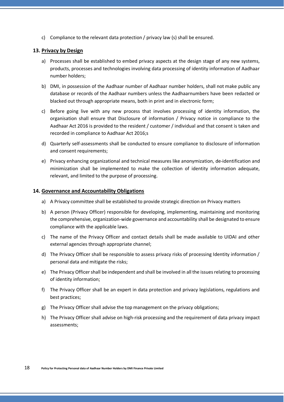c) Compliance to the relevant data protection  $/$  privacy law  $(s)$  shall be ensured.

#### <span id="page-14-0"></span>**13. Privacy by Design**

- a) Processes shall be established to embed privacy aspects at the design stage of any new systems, products, processes and technologies involving data processing of identity information of Aadhaar number holders;
- b) DMI, in possession of the Aadhaar number of Aadhaar number holders, shall not make public any database or records of the Aadhaar numbers unless the Aadhaarnumbers have been redacted or blacked out through appropriate means, both in print and in electronic form;
- c) Before going live with any new process that involves processing of identity information, the organisation shall ensure that Disclosure of information / Privacy notice in compliance to the Aadhaar Act 2016 is provided to the resident / customer / individual and that consent is taken and recorded in compliance to Aadhaar Act 2016;s
- d) Quarterly self-assessments shall be conducted to ensure compliance to disclosure of information and consent requirements;
- e) Privacy enhancing organizational and technical measures like anonymization, de-identification and minimization shall be implemented to make the collection of identity information adequate, relevant, and limited to the purpose of processing.

#### <span id="page-14-1"></span>**14. Governance and Accountability Obligations**

- a) A Privacy committee shall be established to provide strategic direction on Privacy matters
- b) A person (Privacy Officer) responsible for developing, implementing, maintaining and monitoring the comprehensive, organization-wide governance and accountability shall be designated to ensure compliance with the applicable laws.
- c) The name of the Privacy Officer and contact details shall be made available to UIDAI and other external agencies through appropriate channel;
- d) The Privacy Officer shall be responsible to assess privacy risks of processing Identity information / personal data and mitigate the risks;
- e) The Privacy Officer shall be independent and shall be involved in all the issues relating to processing of identity information;
- f) The Privacy Officer shall be an expert in data protection and privacy legislations, regulations and best practices;
- g) The Privacy Officer shall advise the top management on the privacy obligations;
- h) The Privacy Officer shall advise on high-risk processing and the requirement of data privacy impact assessments;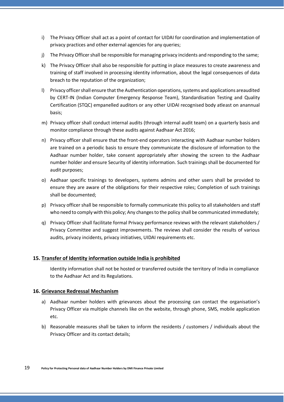- i) The Privacy Officer shall act as a point of contact for UIDAI for coordination and implementation of privacy practices and other external agencies for any queries;
- j) The Privacy Officer shall be responsible for managing privacy incidents and responding to the same;
- k) The Privacy Officer shall also be responsible for putting in place measures to create awareness and training of staff involved in processing identity information, about the legal consequences of data breach to the reputation of the organization;
- l) Privacy officer shall ensure that the Authentication operations, systems and applications areaudited by CERT-IN (Indian Computer Emergency Response Team), Standardisation Testing and Quality Certification (STQC) empanelled auditors or any other UIDAI recognised body atleast on anannual basis;
- m) Privacy officer shall conduct internal audits (through internal audit team) on a quarterly basis and monitor compliance through these audits against Aadhaar Act 2016;
- n) Privacy officer shall ensure that the front-end operators interacting with Aadhaar number holders are trained on a periodic basis to ensure they communicate the disclosure of information to the Aadhaar number holder, take consent appropriately after showing the screen to the Aadhaar number holder and ensure Security of identity information. Such trainings shall be documented for audit purposes;
- o) Aadhaar specific trainings to developers, systems admins and other users shall be provided to ensure they are aware of the obligations for their respective roles; Completion of such trainings shall be documented;
- p) Privacy officer shall be responsible to formally communicate this policy to allstakeholders and staff who need to comply with this policy; Any changesto the policy shall be communicated immediately;
- q) Privacy Officer shall facilitate formal Privacy performance reviews with the relevant stakeholders / Privacy Committee and suggest improvements. The reviews shall consider the results of various audits, privacy incidents, privacy initiatives, UIDAI requirements etc.

## <span id="page-15-0"></span>**15. Transfer of Identity information outside India is prohibited**

Identity information shall not be hosted or transferred outside the territory of India in compliance to the Aadhaar Act and its Regulations.

## <span id="page-15-1"></span>**16. Grievance Redressal Mechanism**

- a) Aadhaar number holders with grievances about the processing can contact the organisation's Privacy Officer via multiple channels like on the website, through phone, SMS, mobile application etc.
- b) Reasonable measures shall be taken to inform the residents / customers / individuals about the Privacy Officer and its contact details;